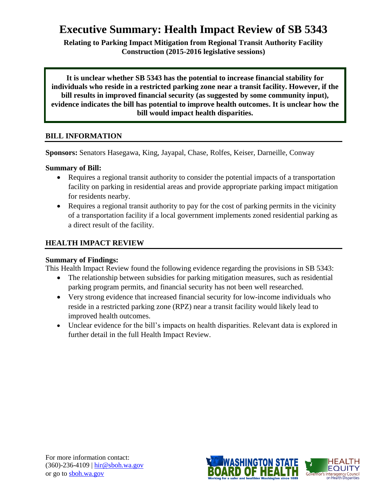# **Executive Summary: Health Impact Review of SB 5343**

**Relating to Parking Impact Mitigation from Regional Transit Authority Facility Construction (2015-2016 legislative sessions)**

**It is unclear whether SB 5343 has the potential to increase financial stability for individuals who reside in a restricted parking zone near a transit facility. However, if the bill results in improved financial security (as suggested by some community input), evidence indicates the bill has potential to improve health outcomes. It is unclear how the bill would impact health disparities.**

# **BILL INFORMATION**

**Sponsors:** Senators Hasegawa, King, Jayapal, Chase, Rolfes, Keiser, Darneille, Conway

# **Summary of Bill:**

- Requires a regional transit authority to consider the potential impacts of a transportation facility on parking in residential areas and provide appropriate parking impact mitigation for residents nearby.
- Requires a regional transit authority to pay for the cost of parking permits in the vicinity of a transportation facility if a local government implements zoned residential parking as a direct result of the facility.

# **HEALTH IMPACT REVIEW**

# **Summary of Findings:**

This Health Impact Review found the following evidence regarding the provisions in SB 5343:

- The relationship between subsidies for parking mitigation measures, such as residential parking program permits, and financial security has not been well researched.
- Very strong evidence that increased financial security for low-income individuals who reside in a restricted parking zone (RPZ) near a transit facility would likely lead to improved health outcomes.
- Unclear evidence for the bill's impacts on health disparities. Relevant data is explored in further detail in the full Health Impact Review.

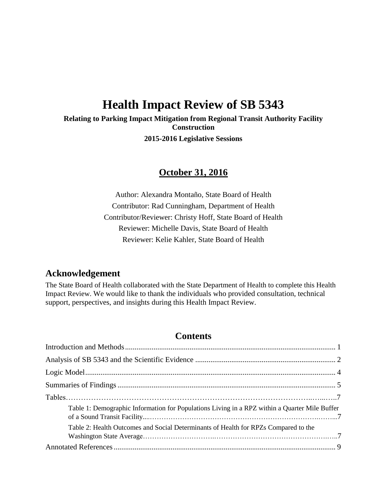# **Health Impact Review of SB 5343**

**Relating to Parking Impact Mitigation from Regional Transit Authority Facility Construction**

**2015-2016 Legislative Sessions**

# **October 31, 2016**

Author: Alexandra Montaño, State Board of Health Contributor: Rad Cunningham, Department of Health Contributor/Reviewer: Christy Hoff, State Board of Health Reviewer: Michelle Davis, State Board of Health Reviewer: Kelie Kahler, State Board of Health

# **Acknowledgement**

The State Board of Health collaborated with the State Department of Health to complete this Health Impact Review. We would like to thank the individuals who provided consultation, technical support, perspectives, and insights during this Health Impact Review.

# **Contents**

| Table 1: Demographic Information for Populations Living in a RPZ within a Quarter Mile Buffer |  |
|-----------------------------------------------------------------------------------------------|--|
| Table 2: Health Outcomes and Social Determinants of Health for RPZs Compared to the           |  |
|                                                                                               |  |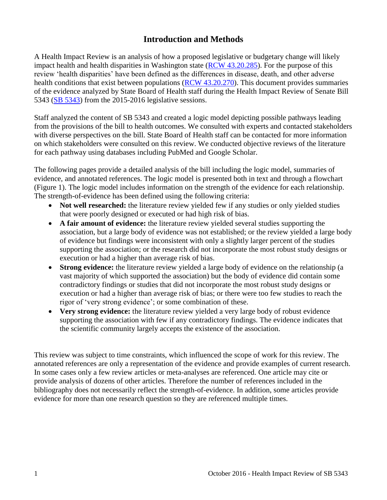# **Introduction and Methods**

<span id="page-2-0"></span>A Health Impact Review is an analysis of how a proposed legislative or budgetary change will likely impact health and health disparities in Washington state [\(RCW 43.20.285\)](http://apps.leg.wa.gov/rcw/default.aspx?cite=43.20.285). For the purpose of this review 'health disparities' have been defined as the differences in disease, death, and other adverse health conditions that exist between populations [\(RCW 43.20.270\)](http://apps.leg.wa.gov/rcw/default.aspx?cite=43.20.270). This document provides summaries of the evidence analyzed by State Board of Health staff during the Health Impact Review of Senate Bill 5343 [\(SB 5343\)](http://apps.leg.wa.gov/billinfo/summary.aspx?bill=5343) from the 2015-2016 legislative sessions.

Staff analyzed the content of SB 5343 and created a logic model depicting possible pathways leading from the provisions of the bill to health outcomes. We consulted with experts and contacted stakeholders with diverse perspectives on the bill. State Board of Health staff can be contacted for more information on which stakeholders were consulted on this review. We conducted objective reviews of the literature for each pathway using databases including PubMed and Google Scholar.

The following pages provide a detailed analysis of the bill including the logic model, summaries of evidence, and annotated references. The logic model is presented both in text and through a flowchart (Figure 1). The logic model includes information on the strength of the evidence for each relationship. The strength-of-evidence has been defined using the following criteria:

- Not well researched: the literature review yielded few if any studies or only yielded studies that were poorly designed or executed or had high risk of bias.
- **A fair amount of evidence:** the literature review yielded several studies supporting the association, but a large body of evidence was not established; or the review yielded a large body of evidence but findings were inconsistent with only a slightly larger percent of the studies supporting the association; or the research did not incorporate the most robust study designs or execution or had a higher than average risk of bias.
- **Strong evidence:** the literature review yielded a large body of evidence on the relationship (a vast majority of which supported the association) but the body of evidence did contain some contradictory findings or studies that did not incorporate the most robust study designs or execution or had a higher than average risk of bias; or there were too few studies to reach the rigor of 'very strong evidence'; or some combination of these.
- **Very strong evidence:** the literature review yielded a very large body of robust evidence supporting the association with few if any contradictory findings. The evidence indicates that the scientific community largely accepts the existence of the association.

This review was subject to time constraints, which influenced the scope of work for this review. The annotated references are only a representation of the evidence and provide examples of current research. In some cases only a few review articles or meta-analyses are referenced. One article may cite or provide analysis of dozens of other articles. Therefore the number of references included in the bibliography does not necessarily reflect the strength-of-evidence. In addition, some articles provide evidence for more than one research question so they are referenced multiple times.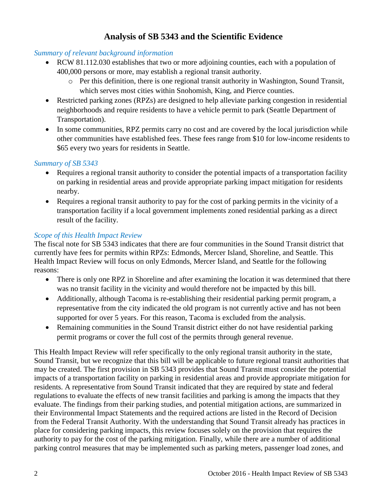# **Analysis of SB 5343 and the Scientific Evidence**

# <span id="page-3-0"></span>*Summary of relevant background information*

- RCW 81.112.030 establishes that two or more adjoining counties, each with a population of 400,000 persons or more, may establish a regional transit authority.
	- o Per this definition, there is one regional transit authority in Washington, Sound Transit, which serves most cities within Snohomish, King, and Pierce counties.
- Restricted parking zones (RPZs) are designed to help alleviate parking congestion in residential neighborhoods and require residents to have a vehicle permit to park (Seattle Department of Transportation).
- In some communities, RPZ permits carry no cost and are covered by the local jurisdiction while other communities have established fees. These fees range from \$10 for low-income residents to \$65 every two years for residents in Seattle.

# *Summary of SB 5343*

- Requires a regional transit authority to consider the potential impacts of a transportation facility on parking in residential areas and provide appropriate parking impact mitigation for residents nearby.
- Requires a regional transit authority to pay for the cost of parking permits in the vicinity of a transportation facility if a local government implements zoned residential parking as a direct result of the facility.

# *Scope of this Health Impact Review*

The fiscal note for SB 5343 indicates that there are four communities in the Sound Transit district that currently have fees for permits within RPZs: Edmonds, Mercer Island, Shoreline, and Seattle. This Health Impact Review will focus on only Edmonds, Mercer Island, and Seattle for the following reasons:

- There is only one RPZ in Shoreline and after examining the location it was determined that there was no transit facility in the vicinity and would therefore not be impacted by this bill.
- Additionally, although Tacoma is re-establishing their residential parking permit program, a representative from the city indicated the old program is not currently active and has not been supported for over 5 years. For this reason, Tacoma is excluded from the analysis.
- Remaining communities in the Sound Transit district either do not have residential parking permit programs or cover the full cost of the permits through general revenue.

This Health Impact Review will refer specifically to the only regional transit authority in the state, Sound Transit, but we recognize that this bill will be applicable to future regional transit authorities that may be created. The first provision in SB 5343 provides that Sound Transit must consider the potential impacts of a transportation facility on parking in residential areas and provide appropriate mitigation for residents. A representative from Sound Transit indicated that they are required by state and federal regulations to evaluate the effects of new transit facilities and parking is among the impacts that they evaluate. The findings from their parking studies, and potential mitigation actions, are summarized in their Environmental Impact Statements and the required actions are listed in the Record of Decision from the Federal Transit Authority. With the understanding that Sound Transit already has practices in place for considering parking impacts, this review focuses solely on the provision that requires the authority to pay for the cost of the parking mitigation. Finally, while there are a number of additional parking control measures that may be implemented such as parking meters, passenger load zones, and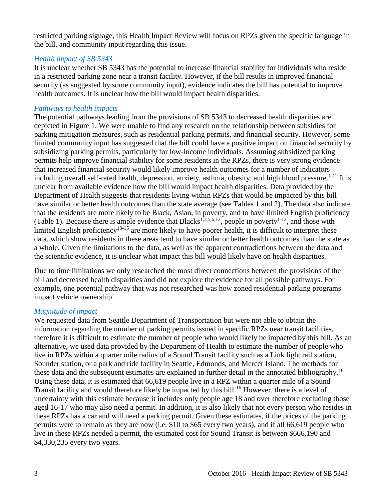restricted parking signage, this Health Impact Review will focus on RPZs given the specific language in the bill, and community input regarding this issue.

### *Health impact of SB 5343*

It is unclear whether SB 5343 has the potential to increase financial stability for individuals who reside in a restricted parking zone near a transit facility. However, if the bill results in improved financial security (as suggested by some community input), evidence indicates the bill has potential to improve health outcomes. It is unclear how the bill would impact health disparities.

### *Pathways to health impacts*

The potential pathways leading from the provisions of SB 5343 to decreased health disparities are depicted in Figure 1. We were unable to find any research on the relationship between subsidies for parking mitigation measures, such as residential parking permits, and financial security. However, some limited community input has suggested that the bill could have a positive impact on financial security by subsidizing parking permits, particularly for low-income individuals. Assuming subsidized parking permits help improve financial stability for some residents in the RPZs, there is very strong evidence that increased financial security would likely improve health outcomes for a number of indicators including overall self-rated health, depression, anxiety, asthma, obesity, and high blood pressure.<sup>[1-12](#page-10-1)</sup> It is unclear from available evidence how the bill would impact health disparities. Data provided by the Department of Health suggests that residents living within RPZs that would be impacted by this bill have similar or better health outcomes than the state average (see Tables 1 and 2). The data also indicate that the residents are more likely to be Black, Asian, in poverty, and to have limited English proficiency (Table 1). Because there is ample evidence that Blacks<sup>[1,](#page-10-1)[3](#page-10-2)[,5](#page-11-0)[,6](#page-11-1)[,12](#page-12-0)</sup>, people in poverty<sup>[1-12](#page-10-1)</sup>, and those with limited English proficiency<sup>[13-15](#page-13-0)</sup> are more likely to have poorer health, it is difficult to interpret these data, which show residents in these areas tend to have similar or better health outcomes than the state as a whole. Given the limitations to the data, as well as the apparent contradictions between the data and the scientific evidence, it is unclear what impact this bill would likely have on health disparities.

Due to time limitations we only researched the most direct connections between the provisions of the bill and decreased health disparities and did not explore the evidence for all possible pathways. For example, one potential pathway that was not researched was how zoned residential parking programs impact vehicle ownership.

#### *Magnitude of impact*

We requested data from Seattle Department of Transportation but were not able to obtain the information regarding the number of parking permits issued in specific RPZs near transit facilities, therefore it is difficult to estimate the number of people who would likely be impacted by this bill. As an alternative, we used data provided by the Department of Health to estimate the number of people who live in RPZs within a quarter mile radius of a Sound Transit facility such as a Link light rail station, Sounder station, or a park and ride facility in Seattle, Edmonds, and Mercer Island. The methods for these data and the subsequent estimates are explained in further detail in the annotated bibliography.<sup>[16](#page-14-0)</sup> Using these data, it is estimated that 66,619 people live in a RPZ within a quarter mile of a Sound Transit facility and would therefore likely be impacted by this bill. [16](#page-14-0) However, there is a level of uncertainty with this estimate because it includes only people age 18 and over therefore excluding those aged 16-17 who may also need a permit. In addition, it is also likely that not every person who resides in these RPZs has a car and will need a parking permit. Given these estimates, if the prices of the parking permits were to remain as they are now (i.e. \$10 to \$65 every two years), and if all 66,619 people who live in these RPZs needed a permit, the estimated cost for Sound Transit is between \$666,190 and \$4,330,235 every two years.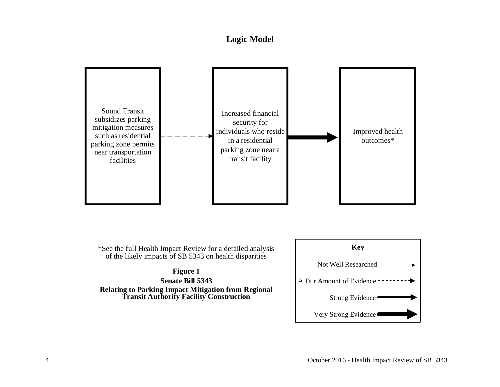# **Logic Model**

<span id="page-5-0"></span>

**Senate Bill 5343 Relating to Parking Impact Mitigation from Regional Transit Authority Facility Construction**

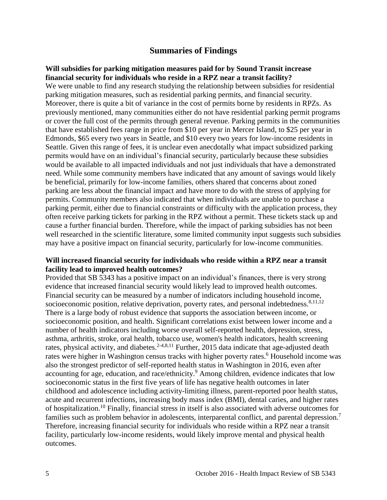# **Summaries of Findings**

#### <span id="page-6-0"></span>**Will subsidies for parking mitigation measures paid for by Sound Transit increase financial security for individuals who reside in a RPZ near a transit facility?**

We were unable to find any research studying the relationship between subsidies for residential parking mitigation measures, such as residential parking permits, and financial security. Moreover, there is quite a bit of variance in the cost of permits borne by residents in RPZs. As previously mentioned, many communities either do not have residential parking permit programs or cover the full cost of the permits through general revenue. Parking permits in the communities that have established fees range in price from \$10 per year in Mercer Island, to \$25 per year in Edmonds, \$65 every two years in Seattle, and \$10 every two years for low-income residents in Seattle. Given this range of fees, it is unclear even anecdotally what impact subsidized parking permits would have on an individual's financial security, particularly because these subsidies would be available to all impacted individuals and not just individuals that have a demonstrated need. While some community members have indicated that any amount of savings would likely be beneficial, primarily for low-income families, others shared that concerns about zoned parking are less about the financial impact and have more to do with the stress of applying for permits. Community members also indicated that when individuals are unable to purchase a parking permit, either due to financial constraints or difficulty with the application process, they often receive parking tickets for parking in the RPZ without a permit. These tickets stack up and cause a further financial burden. Therefore, while the impact of parking subsidies has not been well researched in the scientific literature, some limited community input suggests such subsidies may have a positive impact on financial security, particularly for low-income communities.

#### **Will increased financial security for individuals who reside within a RPZ near a transit facility lead to improved health outcomes?**

Provided that SB 5343 has a positive impact on an individual's finances, there is very strong evidence that increased financial security would likely lead to improved health outcomes. Financial security can be measured by a number of indicators including household income, socioeconomic position, relative deprivation, poverty rates, and personal indebtedness.<sup>[8,](#page-11-2)[11,](#page-12-1)[12](#page-12-0)</sup> There is a large body of robust evidence that supports the association between income, or socioeconomic position, and health. Significant correlations exist between lower income and a number of health indicators including worse overall self-reported health, depression, stress, asthma, arthritis, stroke, oral health, tobacco use, women's health indicators, health screening rates, physical activity, and diabetes.<sup>[2-4](#page-10-3)[,8](#page-11-2)[,11](#page-12-1)</sup> Further, 2015 data indicate that age-adjusted death rates were higher in Washington census tracks with higher poverty rates.<sup>[6](#page-11-1)</sup> Household income was also the strongest predictor of self-reported health status in Washington in 2016, even after accounting for age, education, and race/ethnicity.<sup>[9](#page-11-3)</sup> Among children, evidence indicates that low socioeconomic status in the first five years of life has negative health outcomes in later childhood and adolescence including activity-limiting illness, parent-reported poor health status, acute and recurrent infections, increasing body mass index (BMI), dental caries, and higher rates of hospitalization. [10](#page-12-2) Finally, financial stress in itself is also associated with adverse outcomes for families such as problem behavior in adolescents, interparental conflict, and parental depression.<sup>[7](#page-11-4)</sup> Therefore, increasing financial security for individuals who reside within a RPZ near a transit facility, particularly low-income residents, would likely improve mental and physical health outcomes.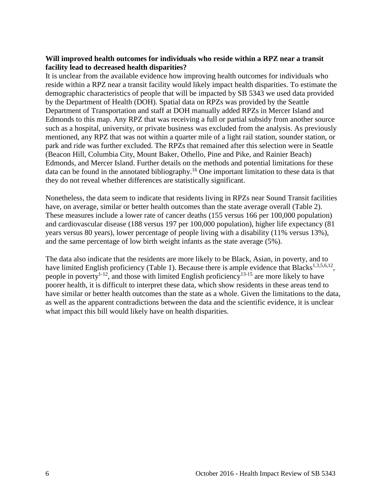### **Will improved health outcomes for individuals who reside within a RPZ near a transit facility lead to decreased health disparities?**

It is unclear from the available evidence how improving health outcomes for individuals who reside within a RPZ near a transit facility would likely impact health disparities. To estimate the demographic characteristics of people that will be impacted by SB 5343 we used data provided by the Department of Health (DOH). Spatial data on RPZs was provided by the Seattle Department of Transportation and staff at DOH manually added RPZs in Mercer Island and Edmonds to this map. Any RPZ that was receiving a full or partial subsidy from another source such as a hospital, university, or private business was excluded from the analysis. As previously mentioned, any RPZ that was not within a quarter mile of a light rail station, sounder station, or park and ride was further excluded. The RPZs that remained after this selection were in Seattle (Beacon Hill, Columbia City, Mount Baker, Othello, Pine and Pike, and Rainier Beach) Edmonds, and Mercer Island. Further details on the methods and potential limitations for these data can be found in the annotated bibliography.<sup>[16](#page-14-0)</sup> One important limitation to these data is that they do not reveal whether differences are statistically significant.

Nonetheless, the data seem to indicate that residents living in RPZs near Sound Transit facilities have, on average, similar or better health outcomes than the state average overall (Table 2). These measures include a lower rate of cancer deaths (155 versus 166 per 100,000 population) and cardiovascular disease (188 versus 197 per 100,000 population), higher life expectancy (81 years versus 80 years), lower percentage of people living with a disability (11% versus 13%), and the same percentage of low birth weight infants as the state average (5%).

The data also indicate that the residents are more likely to be Black, Asian, in poverty, and to have limited English proficiency (Table 1). Because there is ample evidence that Blacks<sup>[1,](#page-10-1)[3](#page-10-2)[,5](#page-11-0)[,6](#page-11-1)[,12](#page-12-0)</sup>, people in poverty<sup>[1-12](#page-10-1)</sup>, and those with limited English proficiency<sup>[13-15](#page-13-0)</sup> are more likely to have poorer health, it is difficult to interpret these data, which show residents in these areas tend to have similar or better health outcomes than the state as a whole. Given the limitations to the data, as well as the apparent contradictions between the data and the scientific evidence, it is unclear what impact this bill would likely have on health disparities.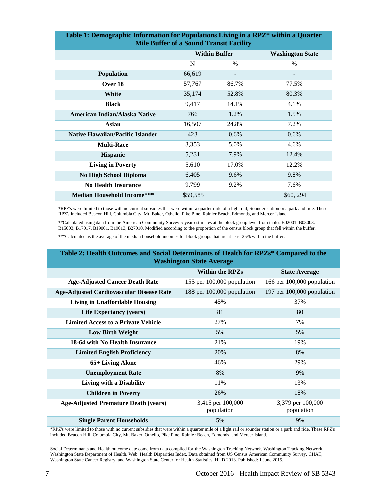| Table 1: Demographic Information for Populations Living in a KPZ* within a Quarter<br><b>Mile Buffer of a Sound Transit Facility</b> |                      |         |                         |  |  |
|--------------------------------------------------------------------------------------------------------------------------------------|----------------------|---------|-------------------------|--|--|
|                                                                                                                                      | <b>Within Buffer</b> |         | <b>Washington State</b> |  |  |
|                                                                                                                                      | N                    | $\%$    | $\%$                    |  |  |
| <b>Population</b>                                                                                                                    | 66,619               |         |                         |  |  |
| Over 18                                                                                                                              | 57,767               | 86.7%   | 77.5%                   |  |  |
| <b>White</b>                                                                                                                         | 35,174               | 52.8%   | 80.3%                   |  |  |
| <b>Black</b>                                                                                                                         | 9,417                | 14.1%   | 4.1%                    |  |  |
| <b>American Indian/Alaska Native</b>                                                                                                 | 766                  | 1.2%    | 1.5%                    |  |  |
| <b>Asian</b>                                                                                                                         | 16,507               | 24.8%   | 7.2%                    |  |  |
| <b>Native Hawaiian/Pacific Islander</b>                                                                                              | 423                  | $0.6\%$ | $0.6\%$                 |  |  |
| <b>Multi-Race</b>                                                                                                                    | 3,353                | 5.0%    | 4.6%                    |  |  |
| <b>Hispanic</b>                                                                                                                      | 5,231                | 7.9%    | 12.4%                   |  |  |
| <b>Living in Poverty</b>                                                                                                             | 5,610                | 17.0%   | 12.2%                   |  |  |
| No High School Diploma                                                                                                               | 6,405                | 9.6%    | 9.8%                    |  |  |
| <b>No Health Insurance</b>                                                                                                           | 9,799                | 9.2%    | 7.6%                    |  |  |
| <b>Median Household Income***</b>                                                                                                    | \$59,585             |         | \$60, 294               |  |  |

**Table 1: Demographic Information for Populations Living in a RPZ\* within a Quarter** 

\*RPZ's were limited to those with no current subsidies that were within a quarter mile of a light rail, Sounder station or a park and ride. These RPZ's included Beacon Hill, Columbia City, Mt. Baker, Othello, Pike Pine, Rainier Beach, Edmonds, and Mercer Island.

\*\*Calculated using data from the American Community Survey 5-year estimates at the block group level from tables B02001, B03003. B15003, B17017, B19001, B19013, B27010, Modified according to the proportion of the census block group that fell within the buffer.

\*\*\*Calculated as the average of the median household incomes for block groups that are at least 25% within the buffer.

#### **Table 2: Health Outcomes and Social Determinants of Health for RPZs\* Compared to the Washington State Average**

|                                                 | <b>Within the RPZs</b>          | <b>State Average</b>            |
|-------------------------------------------------|---------------------------------|---------------------------------|
| <b>Age-Adjusted Cancer Death Rate</b>           | 155 per 100,000 population      | 166 per 100,000 population      |
| <b>Age-Adjusted Cardiovascular Disease Rate</b> | 188 per 100,000 population      | 197 per 100,000 population      |
| Living in Unaffordable Housing                  | 45%                             | 37%                             |
| Life Expectancy (years)                         | 81                              | 80                              |
| <b>Limited Access to a Private Vehicle</b>      | 27%                             | 7%                              |
| <b>Low Birth Weight</b>                         | 5%                              | 5%                              |
| 18-64 with No Health Insurance                  | 21%                             | 19%                             |
| <b>Limited English Proficiency</b>              | 20%                             | 8%                              |
| 65+ Living Alone                                | 46%                             | 29%                             |
| <b>Unemployment Rate</b>                        | 8%                              | 9%                              |
| Living with a Disability                        | 11%                             | 13%                             |
| <b>Children in Poverty</b>                      | 26%                             | 18%                             |
| <b>Age-Adjusted Premature Death (years)</b>     | 3,415 per 100,000<br>population | 3,379 per 100,000<br>population |
| <b>Single Parent Households</b>                 | 5%                              | 9%                              |

\*RPZ's were limited to those with no current subsidies that were within a quarter mile of a light rail or sounder station or a park and ride. These RPZ's included Beacon Hill, Columbia City, Mt. Baker, Othello, Pike Pine, Rainier Beach, Edmonds, and Mercer Island.

Social Determinants and Health outcome date come from data compiled for the Washington Tracking Network. Washington Tracking Network, Washington State Department of Health. Web. Health Disparities Index. Data obtained from US Census American Community Survey, CHAT, Washington State Cancer Registry, and Washington State Center for Health Statistics, HUD 2013. Published: 1 June 2015.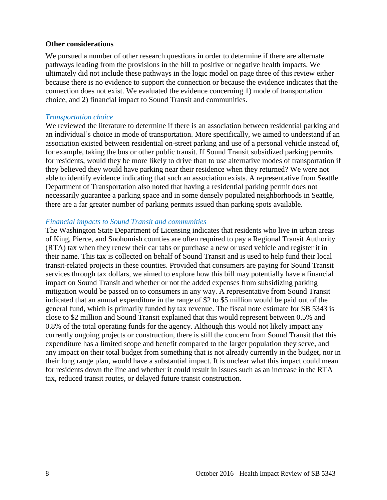#### **Other considerations**

We pursued a number of other research questions in order to determine if there are alternate pathways leading from the provisions in the bill to positive or negative health impacts. We ultimately did not include these pathways in the logic model on page three of this review either because there is no evidence to support the connection or because the evidence indicates that the connection does not exist. We evaluated the evidence concerning 1) mode of transportation choice, and 2) financial impact to Sound Transit and communities.

#### *Transportation choice*

We reviewed the literature to determine if there is an association between residential parking and an individual's choice in mode of transportation. More specifically, we aimed to understand if an association existed between residential on-street parking and use of a personal vehicle instead of, for example, taking the bus or other public transit. If Sound Transit subsidized parking permits for residents, would they be more likely to drive than to use alternative modes of transportation if they believed they would have parking near their residence when they returned? We were not able to identify evidence indicating that such an association exists. A representative from Seattle Department of Transportation also noted that having a residential parking permit does not necessarily guarantee a parking space and in some densely populated neighborhoods in Seattle, there are a far greater number of parking permits issued than parking spots available.

#### *Financial impacts to Sound Transit and communities*

The Washington State Department of Licensing indicates that residents who live in urban areas of King, Pierce, and Snohomish counties are often required to pay a Regional Transit Authority (RTA) tax when they renew their car tabs or purchase a new or used vehicle and register it in their name. This tax is collected on behalf of Sound Transit and is used to help fund their local transit-related projects in these counties. Provided that consumers are paying for Sound Transit services through tax dollars, we aimed to explore how this bill may potentially have a financial impact on Sound Transit and whether or not the added expenses from subsidizing parking mitigation would be passed on to consumers in any way. A representative from Sound Transit indicated that an annual expenditure in the range of \$2 to \$5 million would be paid out of the general fund, which is primarily funded by tax revenue. The fiscal note estimate for SB 5343 is close to \$2 million and Sound Transit explained that this would represent between 0.5% and 0.8% of the total operating funds for the agency. Although this would not likely impact any currently ongoing projects or construction, there is still the concern from Sound Transit that this expenditure has a limited scope and benefit compared to the larger population they serve, and any impact on their total budget from something that is not already currently in the budget, nor in their long range plan, would have a substantial impact. It is unclear what this impact could mean for residents down the line and whether it could result in issues such as an increase in the RTA tax, reduced transit routes, or delayed future transit construction.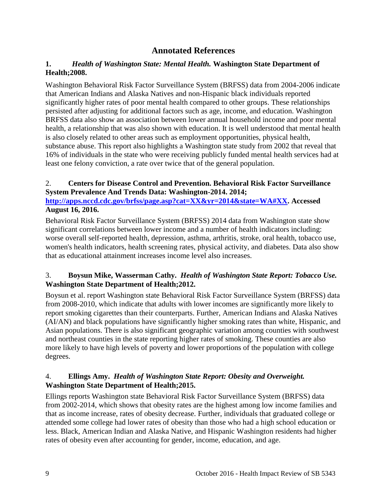# **Annotated References**

# <span id="page-10-1"></span><span id="page-10-0"></span>**1.** *Health of Washington State: Mental Health.* **Washington State Department of Health;2008.**

Washington Behavioral Risk Factor Surveillance System (BRFSS) data from 2004-2006 indicate that American Indians and Alaska Natives and non-Hispanic black individuals reported significantly higher rates of poor mental health compared to other groups. These relationships persisted after adjusting for additional factors such as age, income, and education. Washington BRFSS data also show an association between lower annual household income and poor mental health, a relationship that was also shown with education. It is well understood that mental health is also closely related to other areas such as employment opportunities, physical health, substance abuse. This report also highlights a Washington state study from 2002 that reveal that 16% of individuals in the state who were receiving publicly funded mental health services had at least one felony conviction, a rate over twice that of the general population.

# <span id="page-10-3"></span>2. **Centers for Disease Control and Prevention. Behavioral Risk Factor Surveillance System Prevalence And Trends Data: Washington-2014. 2014;**

**[http://apps.nccd.cdc.gov/brfss/page.asp?cat=XX&yr=2014&state=WA#XX.](http://apps.nccd.cdc.gov/brfss/page.asp?cat=XX&yr=2014&state=WA#XX) Accessed August 16, 2016.**

Behavioral Risk Factor Surveillance System (BRFSS) 2014 data from Washington state show significant correlations between lower income and a number of health indicators including: worse overall self-reported health, depression, asthma, arthritis, stroke, oral health, tobacco use, women's health indicators, health screening rates, physical activity, and diabetes. Data also show that as educational attainment increases income level also increases.

# <span id="page-10-2"></span>3. **Boysun Mike, Wasserman Cathy.** *Health of Washington State Report: Tobacco Use.* **Washington State Department of Health;2012.**

Boysun et al. report Washington state Behavioral Risk Factor Surveillance System (BRFSS) data from 2008-2010, which indicate that adults with lower incomes are significantly more likely to report smoking cigarettes than their counterparts. Further, American Indians and Alaska Natives (AI/AN) and black populations have significantly higher smoking rates than white, Hispanic, and Asian populations. There is also significant geographic variation among counties with southwest and northeast counties in the state reporting higher rates of smoking. These counties are also more likely to have high levels of poverty and lower proportions of the population with college degrees.

# 4. **Ellings Amy.** *Health of Washington State Report: Obesity and Overweight.* **Washington State Department of Health;2015.**

Ellings reports Washington state Behavioral Risk Factor Surveillance System (BRFSS) data from 2002-2014, which shows that obesity rates are the highest among low income families and that as income increase, rates of obesity decrease. Further, individuals that graduated college or attended some college had lower rates of obesity than those who had a high school education or less. Black, American Indian and Alaska Native, and Hispanic Washington residents had higher rates of obesity even after accounting for gender, income, education, and age.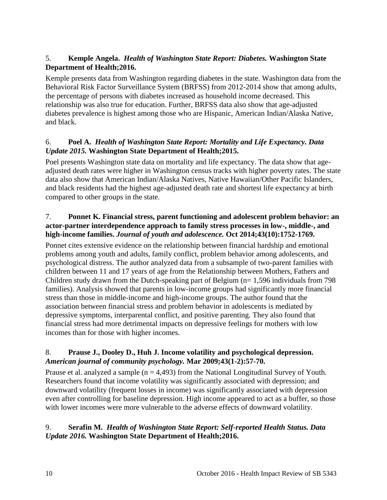# <span id="page-11-0"></span>5. **Kemple Angela.** *Health of Washington State Report: Diabetes.* **Washington State Department of Health;2016.**

Kemple presents data from Washington regarding diabetes in the state. Washington data from the Behavioral Risk Factor Surveillance System (BRFSS) from 2012-2014 show that among adults, the percentage of persons with diabetes increased as household income decreased. This relationship was also true for education. Further, BRFSS data also show that age-adjusted diabetes prevalence is highest among those who are Hispanic, American Indian/Alaska Native, and black.

# <span id="page-11-1"></span>6. **Poel A.** *Health of Washington State Report: Mortality and Life Expectancy. Data Update 2015.* **Washington State Department of Health;2015.**

Poel presents Washington state data on mortality and life expectancy. The data show that ageadjusted death rates were higher in Washington census tracks with higher poverty rates. The state data also show that American Indian/Alaska Natives, Native Hawaiian/Other Pacific Islanders, and black residents had the highest age-adjusted death rate and shortest life expectancy at birth compared to other groups in the state.

# <span id="page-11-4"></span>7. **Ponnet K. Financial stress, parent functioning and adolescent problem behavior: an actor-partner interdependence approach to family stress processes in low-, middle-, and high-income families.** *Journal of youth and adolescence.* **Oct 2014;43(10):1752-1769.**

Ponnet cites extensive evidence on the relationship between financial hardship and emotional problems among youth and adults, family conflict, problem behavior among adolescents, and psychological distress. The author analyzed data from a subsample of two-parent families with children between 11 and 17 years of age from the Relationship between Mothers, Fathers and Children study drawn from the Dutch-speaking part of Belgium (n= 1,596 individuals from 798 families). Analysis showed that parents in low-income groups had significantly more financial stress than those in middle-income and high-income groups. The author found that the association between financial stress and problem behavior in adolescents is mediated by depressive symptoms, interparental conflict, and positive parenting. They also found that financial stress had more detrimental impacts on depressive feelings for mothers with low incomes than for those with higher incomes.

# <span id="page-11-2"></span>8. **Prause J., Dooley D., Huh J. Income volatility and psychological depression.**  *American journal of community psychology.* **Mar 2009;43(1-2):57-70.**

Prause et al. analyzed a sample  $(n = 4,493)$  from the National Longitudinal Survey of Youth. Researchers found that income volatility was significantly associated with depression; and downward volatility (frequent losses in income) was significantly associated with depression even after controlling for baseline depression. High income appeared to act as a buffer, so those with lower incomes were more vulnerable to the adverse effects of downward volatility.

# <span id="page-11-3"></span>9. **Serafin M.** *Health of Washington State Report: Self-reported Health Status. Data Update 2016.* **Washington State Department of Health;2016.**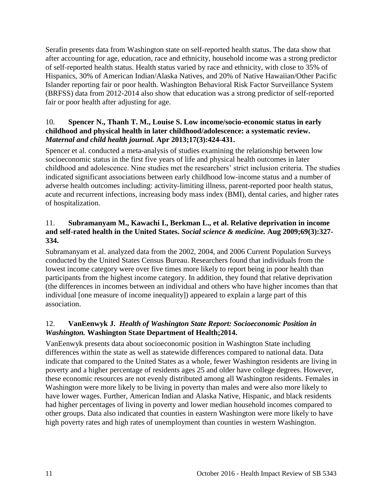Serafin presents data from Washington state on self-reported health status. The data show that after accounting for age, education, race and ethnicity, household income was a strong predictor of self-reported health status. Health status varied by race and ethnicity, with close to 35% of Hispanics, 30% of American Indian/Alaska Natives, and 20% of Native Hawaiian/Other Pacific Islander reporting fair or poor health. Washington Behavioral Risk Factor Surveillance System (BRFSS) data from 2012-2014 also show that education was a strong predictor of self-reported fair or poor health after adjusting for age.

# <span id="page-12-2"></span>10. **Spencer N., Thanh T. M., Louise S. Low income/socio-economic status in early childhood and physical health in later childhood/adolescence: a systematic review.**  *Maternal and child health journal.* **Apr 2013;17(3):424-431.**

Spencer et al. conducted a meta-analysis of studies examining the relationship between low socioeconomic status in the first five years of life and physical health outcomes in later childhood and adolescence. Nine studies met the researchers' strict inclusion criteria. The studies indicated significant associations between early childhood low-income status and a number of adverse health outcomes including: activity-limiting illness, parent-reported poor health status, acute and recurrent infections, increasing body mass index (BMI), dental caries, and higher rates of hospitalization.

# <span id="page-12-1"></span>11. **Subramanyam M., Kawachi I., Berkman L., et al. Relative deprivation in income and self-rated health in the United States.** *Social science & medicine.* **Aug 2009;69(3):327- 334.**

Subramanyam et al. analyzed data from the 2002, 2004, and 2006 Current Population Surveys conducted by the United States Census Bureau. Researchers found that individuals from the lowest income category were over five times more likely to report being in poor health than participants from the highest income category. In addition, they found that relative deprivation (the differences in incomes between an individual and others who have higher incomes than that individual [one measure of income inequality]) appeared to explain a large part of this association.

# <span id="page-12-0"></span>12. **VanEenwyk J.** *Health of Washington State Report: Socioeconomic Position in Washington.* **Washington State Department of Health;2014.**

VanEenwyk presents data about socioeconomic position in Washington State including differences within the state as well as statewide differences compared to national data. Data indicate that compared to the United States as a whole, fewer Washington residents are living in poverty and a higher percentage of residents ages 25 and older have college degrees. However, these economic resources are not evenly distributed among all Washington residents. Females in Washington were more likely to be living in poverty than males and were also more likely to have lower wages. Further, American Indian and Alaska Native, Hispanic, and black residents had higher percentages of living in poverty and lower median household incomes compared to other groups. Data also indicated that counties in eastern Washington were more likely to have high poverty rates and high rates of unemployment than counties in western Washington.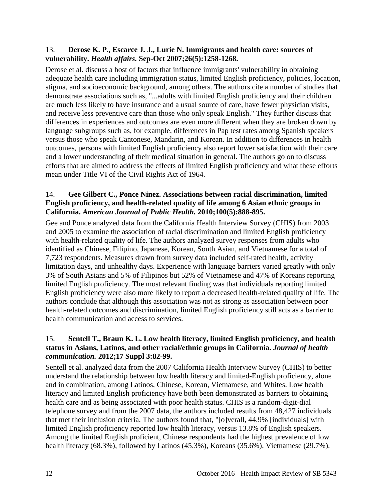### <span id="page-13-0"></span>13. **Derose K. P., Escarce J. J., Lurie N. Immigrants and health care: sources of vulnerability.** *Health affairs.* **Sep-Oct 2007;26(5):1258-1268.**

Derose et al. discuss a host of factors that influence immigrants' vulnerability in obtaining adequate health care including immigration status, limited English proficiency, policies, location, stigma, and socioeconomic background, among others. The authors cite a number of studies that demonstrate associations such as, "...adults with limited English proficiency and their children are much less likely to have insurance and a usual source of care, have fewer physician visits, and receive less preventive care than those who only speak English." They further discuss that differences in experiences and outcomes are even more different when they are broken down by language subgroups such as, for example, differences in Pap test rates among Spanish speakers versus those who speak Cantonese, Mandarin, and Korean. In addition to differences in health outcomes, persons with limited English proficiency also report lower satisfaction with their care and a lower understanding of their medical situation in general. The authors go on to discuss efforts that are aimed to address the effects of limited English proficiency and what these efforts mean under Title VI of the Civil Rights Act of 1964.

# 14. **Gee Gilbert C., Ponce Ninez. Associations between racial discrimination, limited English proficiency, and health-related quality of life among 6 Asian ethnic groups in California.** *American Journal of Public Health.* **2010;100(5):888-895.**

Gee and Ponce analyzed data from the California Health Interview Survey (CHIS) from 2003 and 2005 to examine the association of racial discrimination and limited English proficiency with health-related quality of life. The authors analyzed survey responses from adults who identified as Chinese, Filipino, Japanese, Korean, South Asian, and Vietnamese for a total of 7,723 respondents. Measures drawn from survey data included self-rated health, activity limitation days, and unhealthy days. Experience with language barriers varied greatly with only 3% of South Asians and 5% of Filipinos but 52% of Vietnamese and 47% of Koreans reporting limited English proficiency. The most relevant finding was that individuals reporting limited English proficiency were also more likely to report a decreased health-related quality of life. The authors conclude that although this association was not as strong as association between poor health-related outcomes and discrimination, limited English proficiency still acts as a barrier to health communication and access to services.

# 15. **Sentell T., Braun K. L. Low health literacy, limited English proficiency, and health status in Asians, Latinos, and other racial/ethnic groups in California.** *Journal of health communication.* **2012;17 Suppl 3:82-99.**

Sentell et al. analyzed data from the 2007 California Health Interview Survey (CHIS) to better understand the relationship between low health literacy and limited-English proficiency, alone and in combination, among Latinos, Chinese, Korean, Vietnamese, and Whites. Low health literacy and limited English proficiency have both been demonstrated as barriers to obtaining health care and as being associated with poor health status. CHIS is a random-digit-dial telephone survey and from the 2007 data, the authors included results from 48,427 individuals that met their inclusion criteria. The authors found that, "[o]verall, 44.9% [individuals] with limited English proficiency reported low health literacy, versus 13.8% of English speakers. Among the limited English proficient, Chinese respondents had the highest prevalence of low health literacy (68.3%), followed by Latinos (45.3%), Koreans (35.6%), Vietnamese (29.7%),